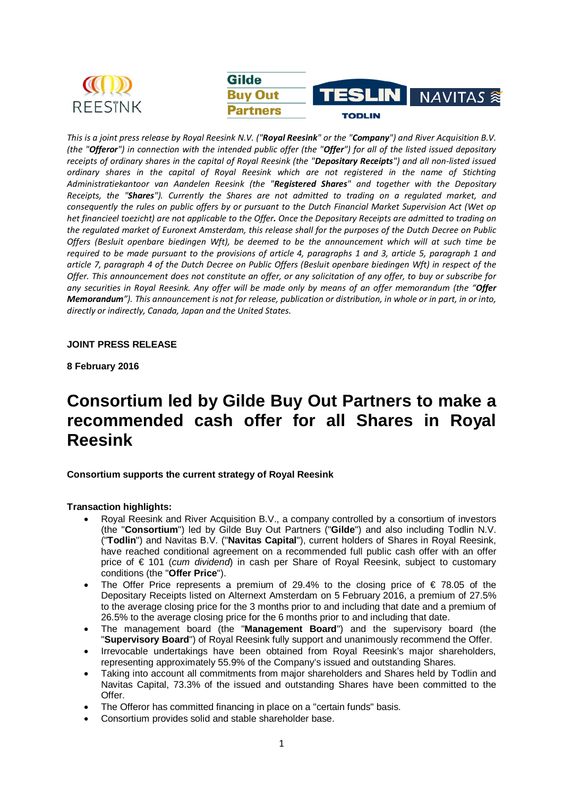

*This is a joint press release by Royal Reesink N.V. ("Royal Reesink" or the "Company") and River Acquisition B.V. (the "Offeror") in connection with the intended public offer (the "Offer") for all of the listed issued depositary receipts of ordinary shares in the capital of Royal Reesink (the "Depositary Receipts") and all non-listed issued ordinary shares in the capital of Royal Reesink which are not registered in the name of Stichting Administratiekantoor van Aandelen Reesink (the "Registered Shares" and together with the Depositary Receipts, the "Shares"). Currently the Shares are not admitted to trading on a regulated market, and consequently the rules on public offers by or pursuant to the Dutch Financial Market Supervision Act (Wet op het financieel toezicht) are not applicable to the Offer. Once the Depositary Receipts are admitted to trading on the regulated market of Euronext Amsterdam, this release shall for the purposes of the Dutch Decree on Public Offers (Besluit openbare biedingen Wft), be deemed to be the announcement which will at such time be required to be made pursuant to the provisions of article 4, paragraphs 1 and 3, article 5, paragraph 1 and article 7, paragraph 4 of the Dutch Decree on Public Offers (Besluit openbare biedingen Wft) in respect of the Offer. This announcement does not constitute an offer, or any solicitation of any offer, to buy or subscribe for any securities in Royal Reesink. Any offer will be made only by means of an offer memorandum (the "Offer Memorandum"). This announcement is not for release, publication or distribution, in whole or in part, in or into, directly or indirectly, Canada, Japan and the United States.* 

# **JOINT PRESS RELEASE**

**8 February 2016** 

# **Consortium led by Gilde Buy Out Partners to make a recommended cash offer for all Shares in Royal Reesink**

# **Consortium supports the current strategy of Royal Reesink**

# **Transaction highlights:**

- Royal Reesink and River Acquisition B.V., a company controlled by a consortium of investors (the "**Consortium**") led by Gilde Buy Out Partners ("**Gilde**") and also including Todlin N.V. ("**Todlin**") and Navitas B.V. ("**Navitas Capital**"), current holders of Shares in Royal Reesink, have reached conditional agreement on a recommended full public cash offer with an offer price of € 101 (*cum dividend*) in cash per Share of Royal Reesink, subject to customary conditions (the "**Offer Price**").
- The Offer Price represents a premium of 29.4% to the closing price of  $\in$  78.05 of the Depositary Receipts listed on Alternext Amsterdam on 5 February 2016, a premium of 27.5% to the average closing price for the 3 months prior to and including that date and a premium of 26.5% to the average closing price for the 6 months prior to and including that date.
- The management board (the "**Management Board**") and the supervisory board (the "**Supervisory Board**") of Royal Reesink fully support and unanimously recommend the Offer.
- Irrevocable undertakings have been obtained from Royal Reesink's major shareholders, representing approximately 55.9% of the Company's issued and outstanding Shares.
- Taking into account all commitments from major shareholders and Shares held by Todlin and Navitas Capital, 73.3% of the issued and outstanding Shares have been committed to the Offer.
- The Offeror has committed financing in place on a "certain funds" basis.
- Consortium provides solid and stable shareholder base.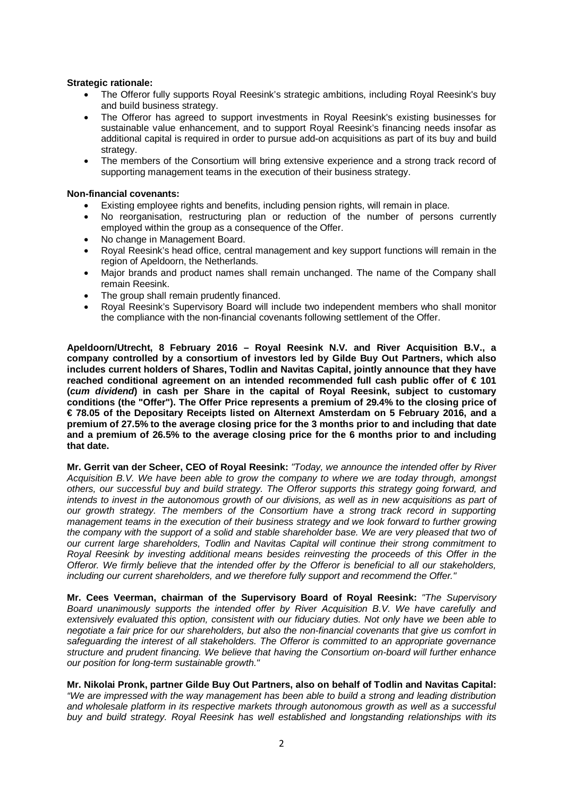# **Strategic rationale:**

- The Offeror fully supports Royal Reesink's strategic ambitions, including Royal Reesink's buy and build business strategy.
- The Offeror has agreed to support investments in Royal Reesink's existing businesses for sustainable value enhancement, and to support Royal Reesink's financing needs insofar as additional capital is required in order to pursue add-on acquisitions as part of its buy and build strategy.
- The members of the Consortium will bring extensive experience and a strong track record of supporting management teams in the execution of their business strategy.

# **Non-financial covenants:**

- Existing employee rights and benefits, including pension rights, will remain in place.
- No reorganisation, restructuring plan or reduction of the number of persons currently employed within the group as a consequence of the Offer.
- No change in Management Board.
- Royal Reesink's head office, central management and key support functions will remain in the region of Apeldoorn, the Netherlands.
- Major brands and product names shall remain unchanged. The name of the Company shall remain Reesink.
- The group shall remain prudently financed.
- Royal Reesink's Supervisory Board will include two independent members who shall monitor the compliance with the non-financial covenants following settlement of the Offer.

**Apeldoorn/Utrecht, 8 February 2016 – Royal Reesink N.V. and River Acquisition B.V., a company controlled by a consortium of investors led by Gilde Buy Out Partners, which also includes current holders of Shares, Todlin and Navitas Capital, jointly announce that they have reached conditional agreement on an intended recommended full cash public offer of € 101 (***cum dividend***) in cash per Share in the capital of Royal Reesink, subject to customary conditions (the "Offer"). The Offer Price represents a premium of 29.4% to the closing price of € 78.05 of the Depositary Receipts listed on Alternext Amsterdam on 5 February 2016, and a premium of 27.5% to the average closing price for the 3 months prior to and including that date and a premium of 26.5% to the average closing price for the 6 months prior to and including that date.** 

**Mr. Gerrit van der Scheer, CEO of Royal Reesink:** *"Today, we announce the intended offer by River Acquisition B.V. We have been able to grow the company to where we are today through, amongst others, our successful buy and build strategy. The Offeror supports this strategy going forward, and*  intends to invest in the autonomous growth of our divisions, as well as in new acquisitions as part of *our growth strategy. The members of the Consortium have a strong track record in supporting management teams in the execution of their business strategy and we look forward to further growing the company with the support of a solid and stable shareholder base. We are very pleased that two of our current large shareholders, Todlin and Navitas Capital will continue their strong commitment to Royal Reesink by investing additional means besides reinvesting the proceeds of this Offer in the Offeror. We firmly believe that the intended offer by the Offeror is beneficial to all our stakeholders, including our current shareholders, and we therefore fully support and recommend the Offer."* 

**Mr. Cees Veerman, chairman of the Supervisory Board of Royal Reesink:** *"The Supervisory Board unanimously supports the intended offer by River Acquisition B.V. We have carefully and extensively evaluated this option, consistent with our fiduciary duties. Not only have we been able to negotiate a fair price for our shareholders, but also the non-financial covenants that give us comfort in safeguarding the interest of all stakeholders. The Offeror is committed to an appropriate governance structure and prudent financing. We believe that having the Consortium on-board will further enhance our position for long-term sustainable growth."* 

# **Mr. Nikolai Pronk, partner Gilde Buy Out Partners, also on behalf of Todlin and Navitas Capital:**

*"We are impressed with the way management has been able to build a strong and leading distribution and wholesale platform in its respective markets through autonomous growth as well as a successful buy and build strategy. Royal Reesink has well established and longstanding relationships with its*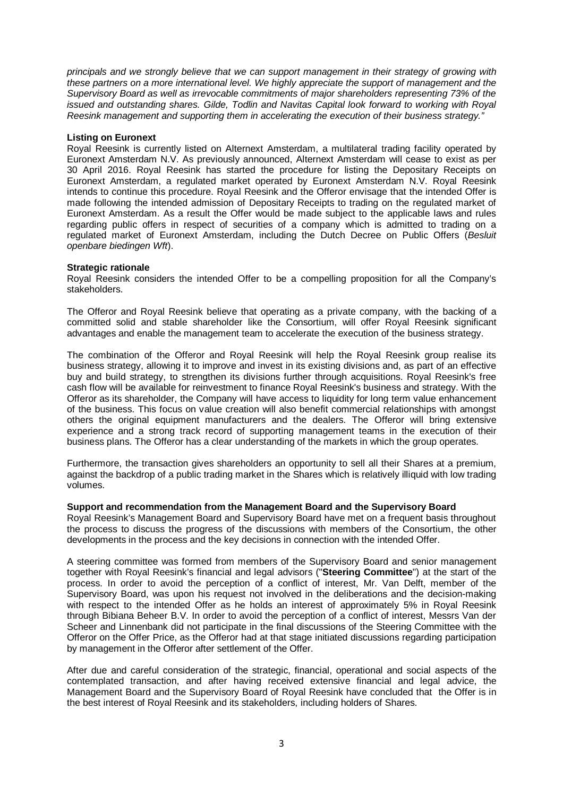*principals and we strongly believe that we can support management in their strategy of growing with these partners on a more international level. We highly appreciate the support of management and the Supervisory Board as well as irrevocable commitments of major shareholders representing 73% of the issued and outstanding shares. Gilde, Todlin and Navitas Capital look forward to working with Royal Reesink management and supporting them in accelerating the execution of their business strategy."* 

# **Listing on Euronext**

Royal Reesink is currently listed on Alternext Amsterdam, a multilateral trading facility operated by Euronext Amsterdam N.V. As previously announced, Alternext Amsterdam will cease to exist as per 30 April 2016. Royal Reesink has started the procedure for listing the Depositary Receipts on Euronext Amsterdam, a regulated market operated by Euronext Amsterdam N.V. Royal Reesink intends to continue this procedure. Royal Reesink and the Offeror envisage that the intended Offer is made following the intended admission of Depositary Receipts to trading on the regulated market of Euronext Amsterdam. As a result the Offer would be made subject to the applicable laws and rules regarding public offers in respect of securities of a company which is admitted to trading on a regulated market of Euronext Amsterdam, including the Dutch Decree on Public Offers (*Besluit openbare biedingen Wft*).

# **Strategic rationale**

Royal Reesink considers the intended Offer to be a compelling proposition for all the Company's stakeholders.

The Offeror and Royal Reesink believe that operating as a private company, with the backing of a committed solid and stable shareholder like the Consortium, will offer Royal Reesink significant advantages and enable the management team to accelerate the execution of the business strategy.

The combination of the Offeror and Royal Reesink will help the Royal Reesink group realise its business strategy, allowing it to improve and invest in its existing divisions and, as part of an effective buy and build strategy, to strengthen its divisions further through acquisitions. Royal Reesink's free cash flow will be available for reinvestment to finance Royal Reesink's business and strategy. With the Offeror as its shareholder, the Company will have access to liquidity for long term value enhancement of the business. This focus on value creation will also benefit commercial relationships with amongst others the original equipment manufacturers and the dealers. The Offeror will bring extensive experience and a strong track record of supporting management teams in the execution of their business plans. The Offeror has a clear understanding of the markets in which the group operates.

Furthermore, the transaction gives shareholders an opportunity to sell all their Shares at a premium, against the backdrop of a public trading market in the Shares which is relatively illiquid with low trading volumes.

# **Support and recommendation from the Management Board and the Supervisory Board**

Royal Reesink's Management Board and Supervisory Board have met on a frequent basis throughout the process to discuss the progress of the discussions with members of the Consortium, the other developments in the process and the key decisions in connection with the intended Offer.

A steering committee was formed from members of the Supervisory Board and senior management together with Royal Reesink's financial and legal advisors ("**Steering Committee**") at the start of the process. In order to avoid the perception of a conflict of interest, Mr. Van Delft, member of the Supervisory Board, was upon his request not involved in the deliberations and the decision-making with respect to the intended Offer as he holds an interest of approximately 5% in Royal Reesink through Bibiana Beheer B.V. In order to avoid the perception of a conflict of interest, Messrs Van der Scheer and Linnenbank did not participate in the final discussions of the Steering Committee with the Offeror on the Offer Price, as the Offeror had at that stage initiated discussions regarding participation by management in the Offeror after settlement of the Offer.

After due and careful consideration of the strategic, financial, operational and social aspects of the contemplated transaction, and after having received extensive financial and legal advice, the Management Board and the Supervisory Board of Royal Reesink have concluded that the Offer is in the best interest of Royal Reesink and its stakeholders, including holders of Shares.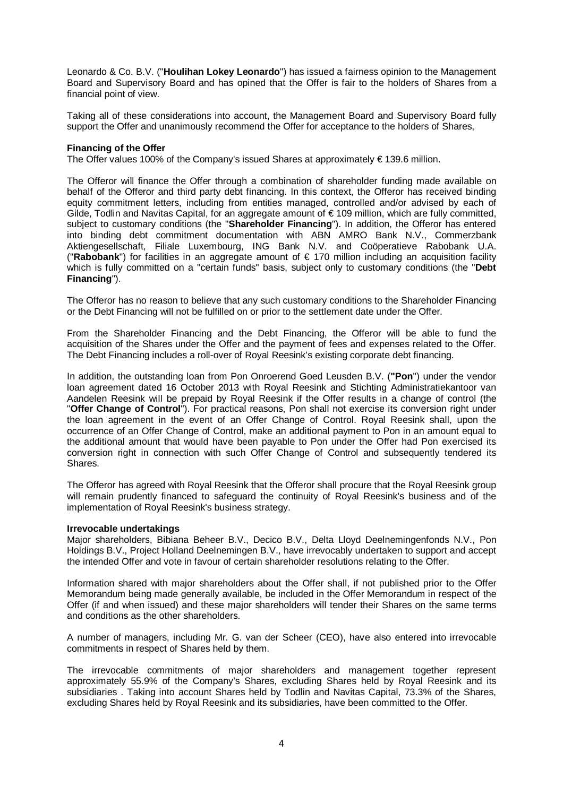Leonardo & Co. B.V. ("**Houlihan Lokey Leonardo**") has issued a fairness opinion to the Management Board and Supervisory Board and has opined that the Offer is fair to the holders of Shares from a financial point of view.

Taking all of these considerations into account, the Management Board and Supervisory Board fully support the Offer and unanimously recommend the Offer for acceptance to the holders of Shares,

# **Financing of the Offer**

The Offer values 100% of the Company's issued Shares at approximately  $\in$  139.6 million.

The Offeror will finance the Offer through a combination of shareholder funding made available on behalf of the Offeror and third party debt financing. In this context, the Offeror has received binding equity commitment letters, including from entities managed, controlled and/or advised by each of Gilde, Todlin and Navitas Capital, for an aggregate amount of € 109 million, which are fully committed, subject to customary conditions (the "**Shareholder Financing**"). In addition, the Offeror has entered into binding debt commitment documentation with ABN AMRO Bank N.V., Commerzbank Aktiengesellschaft, Filiale Luxembourg, ING Bank N.V. and Coöperatieve Rabobank U.A. ("**Rabobank**") for facilities in an aggregate amount of € 170 million including an acquisition facility which is fully committed on a "certain funds" basis, subject only to customary conditions (the "**Debt Financing**").

The Offeror has no reason to believe that any such customary conditions to the Shareholder Financing or the Debt Financing will not be fulfilled on or prior to the settlement date under the Offer.

From the Shareholder Financing and the Debt Financing, the Offeror will be able to fund the acquisition of the Shares under the Offer and the payment of fees and expenses related to the Offer. The Debt Financing includes a roll-over of Royal Reesink's existing corporate debt financing.

In addition, the outstanding loan from Pon Onroerend Goed Leusden B.V. (**"Pon**") under the vendor loan agreement dated 16 October 2013 with Royal Reesink and Stichting Administratiekantoor van Aandelen Reesink will be prepaid by Royal Reesink if the Offer results in a change of control (the "**Offer Change of Control**"). For practical reasons, Pon shall not exercise its conversion right under the loan agreement in the event of an Offer Change of Control. Royal Reesink shall, upon the occurrence of an Offer Change of Control, make an additional payment to Pon in an amount equal to the additional amount that would have been payable to Pon under the Offer had Pon exercised its conversion right in connection with such Offer Change of Control and subsequently tendered its Shares.

The Offeror has agreed with Royal Reesink that the Offeror shall procure that the Royal Reesink group will remain prudently financed to safeguard the continuity of Royal Reesink's business and of the implementation of Royal Reesink's business strategy.

#### **Irrevocable undertakings**

Major shareholders, Bibiana Beheer B.V., Decico B.V., Delta Lloyd Deelnemingenfonds N.V., Pon Holdings B.V., Project Holland Deelnemingen B.V., have irrevocably undertaken to support and accept the intended Offer and vote in favour of certain shareholder resolutions relating to the Offer.

Information shared with major shareholders about the Offer shall, if not published prior to the Offer Memorandum being made generally available, be included in the Offer Memorandum in respect of the Offer (if and when issued) and these major shareholders will tender their Shares on the same terms and conditions as the other shareholders.

A number of managers, including Mr. G. van der Scheer (CEO), have also entered into irrevocable commitments in respect of Shares held by them.

The irrevocable commitments of major shareholders and management together represent approximately 55.9% of the Company's Shares, excluding Shares held by Royal Reesink and its subsidiaries . Taking into account Shares held by Todlin and Navitas Capital, 73.3% of the Shares, excluding Shares held by Royal Reesink and its subsidiaries, have been committed to the Offer.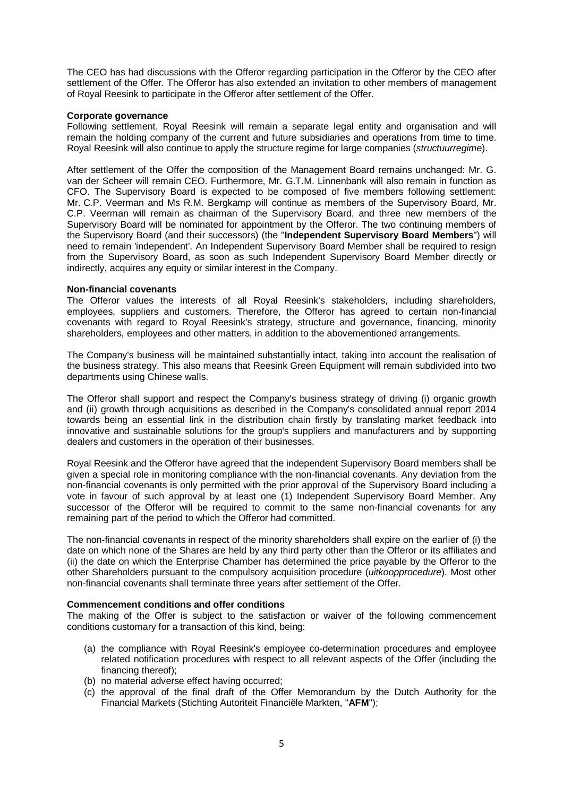The CEO has had discussions with the Offeror regarding participation in the Offeror by the CEO after settlement of the Offer. The Offeror has also extended an invitation to other members of management of Royal Reesink to participate in the Offeror after settlement of the Offer.

#### **Corporate governance**

Following settlement, Royal Reesink will remain a separate legal entity and organisation and will remain the holding company of the current and future subsidiaries and operations from time to time. Royal Reesink will also continue to apply the structure regime for large companies (*structuurregime*).

After settlement of the Offer the composition of the Management Board remains unchanged: Mr. G. van der Scheer will remain CEO. Furthermore, Mr. G.T.M. Linnenbank will also remain in function as CFO. The Supervisory Board is expected to be composed of five members following settlement: Mr. C.P. Veerman and Ms R.M. Bergkamp will continue as members of the Supervisory Board, Mr. C.P. Veerman will remain as chairman of the Supervisory Board, and three new members of the Supervisory Board will be nominated for appointment by the Offeror. The two continuing members of the Supervisory Board (and their successors) (the "**Independent Supervisory Board Members**") will need to remain 'independent'. An Independent Supervisory Board Member shall be required to resign from the Supervisory Board, as soon as such Independent Supervisory Board Member directly or indirectly, acquires any equity or similar interest in the Company.

#### **Non-financial covenants**

The Offeror values the interests of all Royal Reesink's stakeholders, including shareholders, employees, suppliers and customers. Therefore, the Offeror has agreed to certain non-financial covenants with regard to Royal Reesink's strategy, structure and governance, financing, minority shareholders, employees and other matters, in addition to the abovementioned arrangements.

The Company's business will be maintained substantially intact, taking into account the realisation of the business strategy. This also means that Reesink Green Equipment will remain subdivided into two departments using Chinese walls.

The Offeror shall support and respect the Company's business strategy of driving (i) organic growth and (ii) growth through acquisitions as described in the Company's consolidated annual report 2014 towards being an essential link in the distribution chain firstly by translating market feedback into innovative and sustainable solutions for the group's suppliers and manufacturers and by supporting dealers and customers in the operation of their businesses.

Royal Reesink and the Offeror have agreed that the independent Supervisory Board members shall be given a special role in monitoring compliance with the non-financial covenants. Any deviation from the non-financial covenants is only permitted with the prior approval of the Supervisory Board including a vote in favour of such approval by at least one (1) Independent Supervisory Board Member. Any successor of the Offeror will be required to commit to the same non-financial covenants for any remaining part of the period to which the Offeror had committed.

The non-financial covenants in respect of the minority shareholders shall expire on the earlier of (i) the date on which none of the Shares are held by any third party other than the Offeror or its affiliates and (ii) the date on which the Enterprise Chamber has determined the price payable by the Offeror to the other Shareholders pursuant to the compulsory acquisition procedure (*uitkoopprocedure*). Most other non-financial covenants shall terminate three years after settlement of the Offer.

# **Commencement conditions and offer conditions**

The making of the Offer is subject to the satisfaction or waiver of the following commencement conditions customary for a transaction of this kind, being:

- (a) the compliance with Royal Reesink's employee co-determination procedures and employee related notification procedures with respect to all relevant aspects of the Offer (including the financing thereof);
- (b) no material adverse effect having occurred;
- (c) the approval of the final draft of the Offer Memorandum by the Dutch Authority for the Financial Markets (Stichting Autoriteit Financiële Markten, "**AFM**");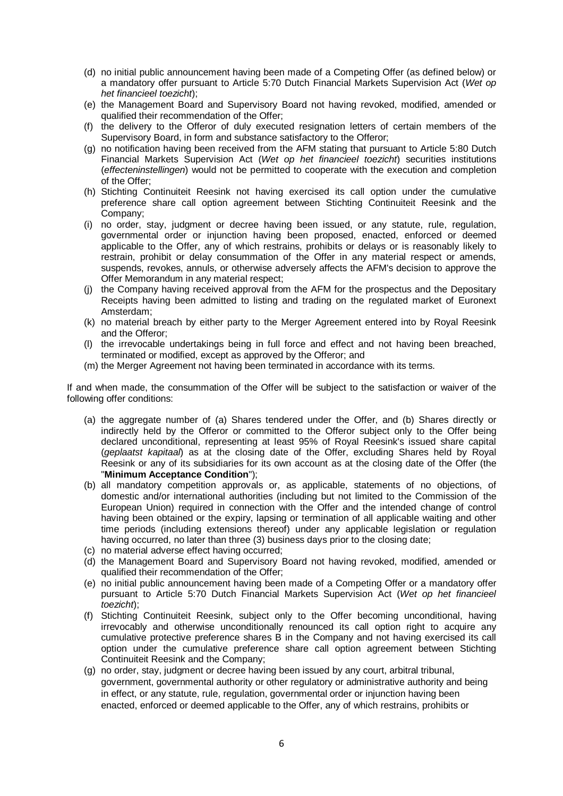- (d) no initial public announcement having been made of a Competing Offer (as defined below) or a mandatory offer pursuant to Article 5:70 Dutch Financial Markets Supervision Act (*Wet op het financieel toezicht*);
- (e) the Management Board and Supervisory Board not having revoked, modified, amended or qualified their recommendation of the Offer;
- (f) the delivery to the Offeror of duly executed resignation letters of certain members of the Supervisory Board, in form and substance satisfactory to the Offeror;
- (g) no notification having been received from the AFM stating that pursuant to Article 5:80 Dutch Financial Markets Supervision Act (*Wet op het financieel toezicht*) securities institutions (*effecteninstellingen*) would not be permitted to cooperate with the execution and completion of the Offer;
- (h) Stichting Continuiteit Reesink not having exercised its call option under the cumulative preference share call option agreement between Stichting Continuiteit Reesink and the Company;
- (i) no order, stay, judgment or decree having been issued, or any statute, rule, regulation, governmental order or injunction having been proposed, enacted, enforced or deemed applicable to the Offer, any of which restrains, prohibits or delays or is reasonably likely to restrain, prohibit or delay consummation of the Offer in any material respect or amends, suspends, revokes, annuls, or otherwise adversely affects the AFM's decision to approve the Offer Memorandum in any material respect;
- (j) the Company having received approval from the AFM for the prospectus and the Depositary Receipts having been admitted to listing and trading on the regulated market of Euronext Amsterdam;
- (k) no material breach by either party to the Merger Agreement entered into by Royal Reesink and the Offeror;
- (l) the irrevocable undertakings being in full force and effect and not having been breached, terminated or modified, except as approved by the Offeror; and
- (m) the Merger Agreement not having been terminated in accordance with its terms.

If and when made, the consummation of the Offer will be subject to the satisfaction or waiver of the following offer conditions:

- (a) the aggregate number of (a) Shares tendered under the Offer, and (b) Shares directly or indirectly held by the Offeror or committed to the Offeror subject only to the Offer being declared unconditional, representing at least 95% of Royal Reesink's issued share capital (*geplaatst kapitaal*) as at the closing date of the Offer, excluding Shares held by Royal Reesink or any of its subsidiaries for its own account as at the closing date of the Offer (the "**Minimum Acceptance Condition**");
- (b) all mandatory competition approvals or, as applicable, statements of no objections, of domestic and/or international authorities (including but not limited to the Commission of the European Union) required in connection with the Offer and the intended change of control having been obtained or the expiry, lapsing or termination of all applicable waiting and other time periods (including extensions thereof) under any applicable legislation or regulation having occurred, no later than three (3) business days prior to the closing date;
- (c) no material adverse effect having occurred;
- (d) the Management Board and Supervisory Board not having revoked, modified, amended or qualified their recommendation of the Offer;
- (e) no initial public announcement having been made of a Competing Offer or a mandatory offer pursuant to Article 5:70 Dutch Financial Markets Supervision Act (*Wet op het financieel toezicht*);
- (f) Stichting Continuiteit Reesink, subject only to the Offer becoming unconditional, having irrevocably and otherwise unconditionally renounced its call option right to acquire any cumulative protective preference shares B in the Company and not having exercised its call option under the cumulative preference share call option agreement between Stichting Continuiteit Reesink and the Company;
- (g) no order, stay, judgment or decree having been issued by any court, arbitral tribunal, government, governmental authority or other regulatory or administrative authority and being in effect, or any statute, rule, regulation, governmental order or injunction having been enacted, enforced or deemed applicable to the Offer, any of which restrains, prohibits or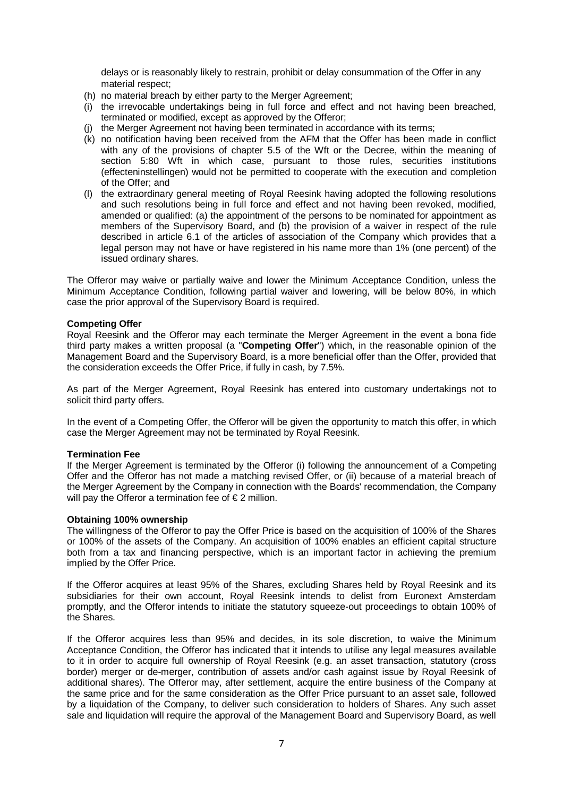delays or is reasonably likely to restrain, prohibit or delay consummation of the Offer in any material respect;

- (h) no material breach by either party to the Merger Agreement;
- (i) the irrevocable undertakings being in full force and effect and not having been breached, terminated or modified, except as approved by the Offeror;
- (j) the Merger Agreement not having been terminated in accordance with its terms;
- (k) no notification having been received from the AFM that the Offer has been made in conflict with any of the provisions of chapter 5.5 of the Wft or the Decree, within the meaning of section 5:80 Wft in which case, pursuant to those rules, securities institutions (effecteninstellingen) would not be permitted to cooperate with the execution and completion of the Offer; and
- (l) the extraordinary general meeting of Royal Reesink having adopted the following resolutions and such resolutions being in full force and effect and not having been revoked, modified, amended or qualified: (a) the appointment of the persons to be nominated for appointment as members of the Supervisory Board, and (b) the provision of a waiver in respect of the rule described in article 6.1 of the articles of association of the Company which provides that a legal person may not have or have registered in his name more than 1% (one percent) of the issued ordinary shares.

The Offeror may waive or partially waive and lower the Minimum Acceptance Condition, unless the Minimum Acceptance Condition, following partial waiver and lowering, will be below 80%, in which case the prior approval of the Supervisory Board is required.

# **Competing Offer**

Royal Reesink and the Offeror may each terminate the Merger Agreement in the event a bona fide third party makes a written proposal (a "**Competing Offer**") which, in the reasonable opinion of the Management Board and the Supervisory Board, is a more beneficial offer than the Offer, provided that the consideration exceeds the Offer Price, if fully in cash, by 7.5%.

As part of the Merger Agreement, Royal Reesink has entered into customary undertakings not to solicit third party offers.

In the event of a Competing Offer, the Offeror will be given the opportunity to match this offer, in which case the Merger Agreement may not be terminated by Royal Reesink.

# **Termination Fee**

If the Merger Agreement is terminated by the Offeror (i) following the announcement of a Competing Offer and the Offeror has not made a matching revised Offer, or (ii) because of a material breach of the Merger Agreement by the Company in connection with the Boards' recommendation, the Company will pay the Offeror a termination fee of  $\epsilon$  2 million.

# **Obtaining 100% ownership**

The willingness of the Offeror to pay the Offer Price is based on the acquisition of 100% of the Shares or 100% of the assets of the Company. An acquisition of 100% enables an efficient capital structure both from a tax and financing perspective, which is an important factor in achieving the premium implied by the Offer Price.

If the Offeror acquires at least 95% of the Shares, excluding Shares held by Royal Reesink and its subsidiaries for their own account, Royal Reesink intends to delist from Euronext Amsterdam promptly, and the Offeror intends to initiate the statutory squeeze-out proceedings to obtain 100% of the Shares.

If the Offeror acquires less than 95% and decides, in its sole discretion, to waive the Minimum Acceptance Condition, the Offeror has indicated that it intends to utilise any legal measures available to it in order to acquire full ownership of Royal Reesink (e.g. an asset transaction, statutory (cross border) merger or de-merger, contribution of assets and/or cash against issue by Royal Reesink of additional shares). The Offeror may, after settlement, acquire the entire business of the Company at the same price and for the same consideration as the Offer Price pursuant to an asset sale, followed by a liquidation of the Company, to deliver such consideration to holders of Shares. Any such asset sale and liquidation will require the approval of the Management Board and Supervisory Board, as well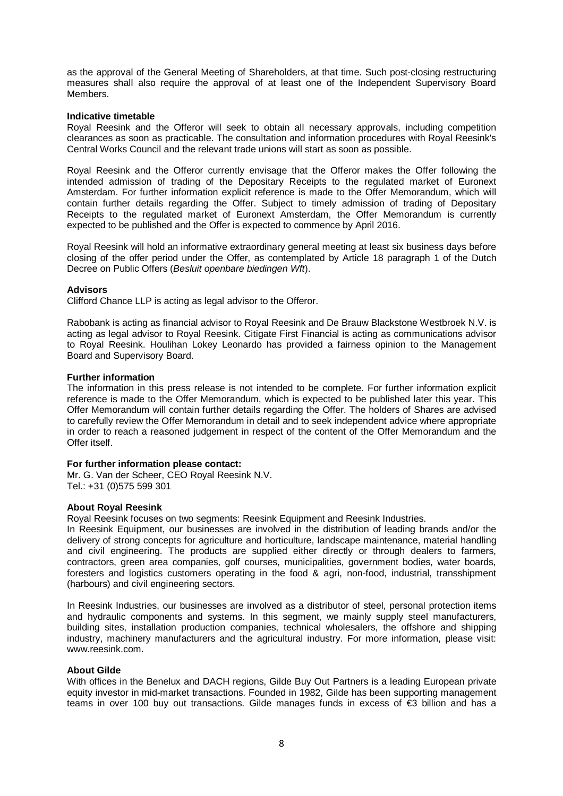as the approval of the General Meeting of Shareholders, at that time. Such post-closing restructuring measures shall also require the approval of at least one of the Independent Supervisory Board Members.

#### **Indicative timetable**

Royal Reesink and the Offeror will seek to obtain all necessary approvals, including competition clearances as soon as practicable. The consultation and information procedures with Royal Reesink's Central Works Council and the relevant trade unions will start as soon as possible.

Royal Reesink and the Offeror currently envisage that the Offeror makes the Offer following the intended admission of trading of the Depositary Receipts to the regulated market of Euronext Amsterdam. For further information explicit reference is made to the Offer Memorandum, which will contain further details regarding the Offer. Subject to timely admission of trading of Depositary Receipts to the regulated market of Euronext Amsterdam, the Offer Memorandum is currently expected to be published and the Offer is expected to commence by April 2016.

Royal Reesink will hold an informative extraordinary general meeting at least six business days before closing of the offer period under the Offer, as contemplated by Article 18 paragraph 1 of the Dutch Decree on Public Offers (*Besluit openbare biedingen Wft*).

# **Advisors**

Clifford Chance LLP is acting as legal advisor to the Offeror.

Rabobank is acting as financial advisor to Royal Reesink and De Brauw Blackstone Westbroek N.V. is acting as legal advisor to Royal Reesink. Citigate First Financial is acting as communications advisor to Royal Reesink. Houlihan Lokey Leonardo has provided a fairness opinion to the Management Board and Supervisory Board.

# **Further information**

The information in this press release is not intended to be complete. For further information explicit reference is made to the Offer Memorandum, which is expected to be published later this year. This Offer Memorandum will contain further details regarding the Offer. The holders of Shares are advised to carefully review the Offer Memorandum in detail and to seek independent advice where appropriate in order to reach a reasoned judgement in respect of the content of the Offer Memorandum and the Offer itself.

# **For further information please contact:**

Mr. G. Van der Scheer, CEO Royal Reesink N.V. Tel.: +31 (0)575 599 301

# **About Royal Reesink**

Royal Reesink focuses on two segments: Reesink Equipment and Reesink Industries.

In Reesink Equipment, our businesses are involved in the distribution of leading brands and/or the delivery of strong concepts for agriculture and horticulture, landscape maintenance, material handling and civil engineering. The products are supplied either directly or through dealers to farmers, contractors, green area companies, golf courses, municipalities, government bodies, water boards, foresters and logistics customers operating in the food & agri, non-food, industrial, transshipment (harbours) and civil engineering sectors.

In Reesink Industries, our businesses are involved as a distributor of steel, personal protection items and hydraulic components and systems. In this segment, we mainly supply steel manufacturers, building sites, installation production companies, technical wholesalers, the offshore and shipping industry, machinery manufacturers and the agricultural industry. For more information, please visit: www.reesink.com.

# **About Gilde**

With offices in the Benelux and DACH regions, Gilde Buy Out Partners is a leading European private equity investor in mid-market transactions. Founded in 1982, Gilde has been supporting management teams in over 100 buy out transactions. Gilde manages funds in excess of €3 billion and has a